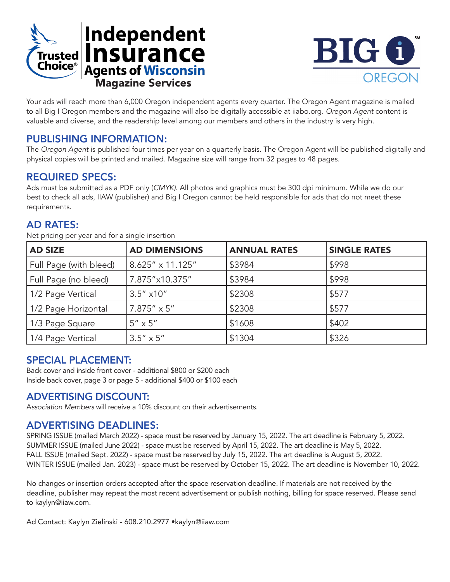



Your ads will reach more than 6,000 Oregon independent agents every quarter. The Oregon Agent magazine is mailed to all Big I Oregon members and the magazine will also be digitally accessible at iiabo.org. *Oregon Agent* content is valuable and diverse, and the readership level among our members and others in the industry is very high.

### PUBLISHING INFORMATION:

The *Oregon Agent* is published four times per year on a quarterly basis. The Oregon Agent will be published digitally and physical copies will be printed and mailed. Magazine size will range from 32 pages to 48 pages.

#### REQUIRED SPECS:

Ads must be submitted as a PDF only (*CMYK)*. All photos and graphics must be 300 dpi minimum. While we do our best to check all ads, IIAW (publisher) and Big I Oregon cannot be held responsible for ads that do not meet these requirements.

## AD RATES:

Net pricing per year and for a single insertion

| <b>AD SIZE</b>         | <b>AD DIMENSIONS</b> | <b>ANNUAL RATES</b> | <b>SINGLE RATES</b> |
|------------------------|----------------------|---------------------|---------------------|
| Full Page (with bleed) | 8.625" x 11.125"     | \$3984              | \$998               |
| Full Page (no bleed)   | 7.875"x10.375"       | \$3984              | \$998               |
| 1/2 Page Vertical      | $3.5''$ x10"         | \$2308              | \$577               |
| 1/2 Page Horizontal    | $7.875'' \times 5''$ | \$2308              | \$577               |
| 1/3 Page Square        | $5'' \times 5''$     | \$1608              | \$402               |
| 1/4 Page Vertical      | $3.5'' \times 5''$   | \$1304              | \$326               |

## SPECIAL PLACEMENT:

Back cover and inside front cover - additional \$800 or \$200 each Inside back cover, page 3 or page 5 - additional \$400 or \$100 each

#### ADVERTISING DISCOUNT:

A*ssociation Members* will receive a 10% discount on their advertisements.

#### ADVERTISING DEADLINES:

SPRING ISSUE (mailed March 2022) - space must be reserved by January 15, 2022. The art deadline is February 5, 2022. SUMMER ISSUE (mailed June 2022) - space must be reserved by April 15, 2022. The art deadline is May 5, 2022. FALL ISSUE (mailed Sept. 2022) - space must be reserved by July 15, 2022. The art deadline is August 5, 2022. WINTER ISSUE (mailed Jan. 2023) - space must be reserved by October 15, 2022. The art deadline is November 10, 2022.

No changes or insertion orders accepted after the space reservation deadline. If materials are not received by the deadline, publisher may repeat the most recent advertisement or publish nothing, billing for space reserved. Please send to kaylyn@iiaw.com.

Ad Contact: Kaylyn Zielinski - 608.210.2977 •kaylyn@iiaw.com